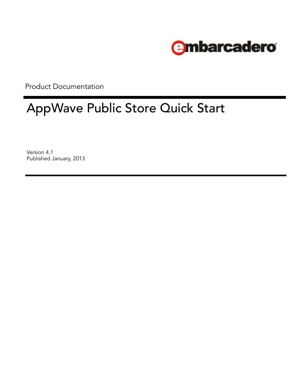

Product Documentation

# AppWave Public Store Quick Start

Version 4.1 Published January, 2013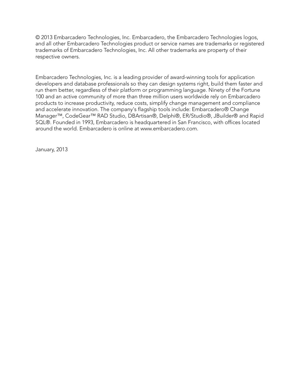© 2013 Embarcadero Technologies, Inc. Embarcadero, the Embarcadero Technologies logos, and all other Embarcadero Technologies product or service names are trademarks or registered trademarks of Embarcadero Technologies, Inc. All other trademarks are property of their respective owners.

Embarcadero Technologies, Inc. is a leading provider of award-winning tools for application developers and database professionals so they can design systems right, build them faster and run them better, regardless of their platform or programming language. Ninety of the Fortune 100 and an active community of more than three million users worldwide rely on Embarcadero products to increase productivity, reduce costs, simplify change management and compliance and accelerate innovation. The company's flagship tools include: Embarcadero® Change Manager™, CodeGear™ RAD Studio, DBArtisan®, Delphi®, ER/Studio®, JBuilder® and Rapid SQL®. Founded in 1993, Embarcadero is headquartered in San Francisco, with offices located around the world. Embarcadero is online at www.embarcadero.com.

January, 2013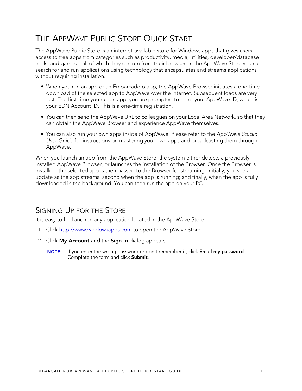## <span id="page-4-0"></span>THE APPWAVE PUBLIC STORE QUICK START

The AppWave Public Store is an internet-available store for Windows apps that gives users access to free apps from categories such as productivity, media, utilities, developer/database tools, and games – all of which they can run from their browser. In the AppWave Store you can search for and run applications using technology that encapsulates and streams applications without requiring installation.

- When you run an app or an Embarcadero app, the AppWave Browser initiates a one-time download of the selected app to AppWave over the internet. Subsequent loads are very fast. The first time you run an app, you are prompted to enter your AppWave ID, which is your EDN Account ID. This is a one-time registration.
- You can then send the AppWave URL to colleagues on your Local Area Network, so that they can obtain the AppWave Browser and experience AppWave themselves.
- You can also run your own apps inside of AppWave. Please refer to the AppWave Studio User Guide for instructions on mastering your own apps and broadcasting them through AppWave.

When you launch an app from the AppWave Store, the system either detects a previously installed AppWave Browser, or launches the installation of the Browser. Once the Browser is installed, the selected app is then passed to the Browser for streaming. Initially, you see an update as the app streams; second when the app is running; and finally, when the app is fully downloaded in the background. You can then run the app on your PC.

#### <span id="page-4-1"></span>SIGNING UP FOR THE STORE

It is easy to find and run any application located in the AppWave Store.

- 1 Click<http://www.windowsapps.com> to open the AppWave Store.
- 2 Click **My Account** and the **Sign In** dialog appears.
	- **NOTE:** If you enter the wrong password or don't remember it, click **Email my password**. Complete the form and click **Submit**.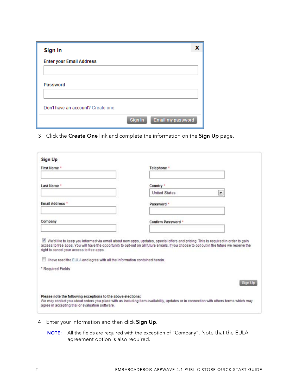| Sign In                            |         |                   |
|------------------------------------|---------|-------------------|
| <b>Enter your Email Address</b>    |         |                   |
|                                    |         |                   |
| <b>Password</b>                    |         |                   |
|                                    |         |                   |
| Don't have an account? Create one. |         |                   |
|                                    | Sign In | Email my password |

3 Click the **Create One** link and complete the information on the **Sign Up** page.

| <b>First Name *</b>                                                           | Telephone *                                                                                                                                                                                                                                                                    |
|-------------------------------------------------------------------------------|--------------------------------------------------------------------------------------------------------------------------------------------------------------------------------------------------------------------------------------------------------------------------------|
| Last Name *                                                                   | Country *                                                                                                                                                                                                                                                                      |
|                                                                               | <b>United States</b><br>$\vert \mathbf{r} \vert$                                                                                                                                                                                                                               |
| <b>Email Address *</b>                                                        | Password *                                                                                                                                                                                                                                                                     |
| Company                                                                       | Confirm Password *                                                                                                                                                                                                                                                             |
| right to cancel your access to free apps.                                     | V We'd like to keep you informed via email about new apps, updates, special offers and pricing. This is required in order to gain<br>access to free apps. You will have the opportunity to opt-out on all future emails. If you choose to opt out in the future we reserve the |
| Ill I have read the EULA and agree with all the information contained herein. |                                                                                                                                                                                                                                                                                |
| * Required Fields                                                             |                                                                                                                                                                                                                                                                                |
|                                                                               | <b>Sign Up</b>                                                                                                                                                                                                                                                                 |

- 4 Enter your information and then click **Sign Up**.
	- **NOTE:** All the fields are required with the exception of "Company". Note that the EULA agreement option is also required.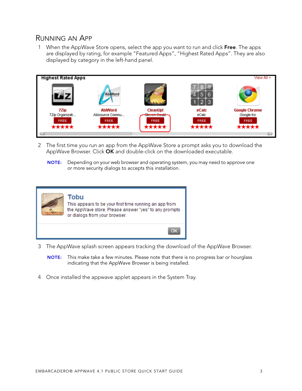#### <span id="page-6-0"></span>RUNNING AN APP

1 When the AppWave Store opens, select the app you want to run and click **Free**. The apps are displayed by rating, for example "Featured Apps", "Highest Rated Apps". They are also displayed by category in the left-hand panel.



- 2 The first time you run an app from the AppWave Store a prompt asks you to download the AppWave Browser. Click **OK** and double-click on the downloaded executable.
	- **NOTE:** Depending on your web browser and operating system, you may need to approve one or more security dialogs to accepts this installation.



- 3 The AppWave splash screen appears tracking the download of the AppWave Browser.
	- **NOTE:** This make take a few minutes. Please note that there is no progress bar or hourglass indicating that the AppWave Browser is being installed.
- 4 Once installed the appwave applet appears in the System Tray.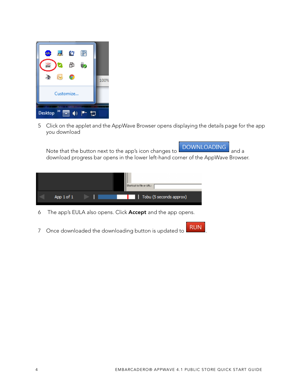

5 Click on the applet and the AppWave Browser opens displaying the details page for the app you download

Note that the button next to the app's icon changes to **DOWNLOADING** and a download progress bar opens in the lower left-hand corner of the AppWave Browser.



- 6 The app's EULA also opens. Click **Accept** and the app opens.
- 7 Once downloaded the downloading button is updated to **RUN**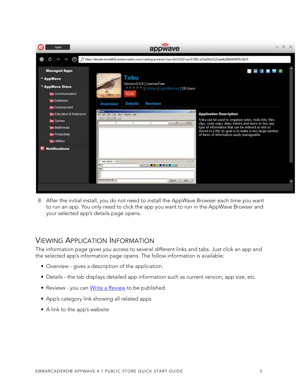

8 After the initial install, you do not need to install the AppWave Browser each time you want to run an app. You only need to click the app you want to run in the AppWave Browser and your selected app's details page opens.

#### <span id="page-8-0"></span>VIEWING APPLICATION INFORMATION

The information page gives you access to several different links and tabs. Just click an app and the selected app's information page opens. The follow information is available:

- Overview gives a description of the application.
- Details the tab displays detailed app information such as current version, app size, etc.
- Reviews you can [Write a Review](#page-9-0) to be published.
- App's category link showing all related apps
- A link to the app's website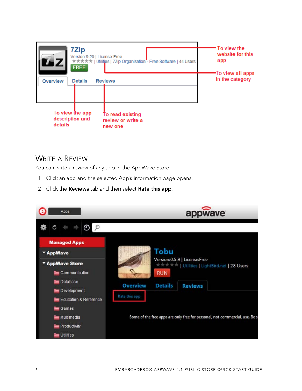| 7Zip<br>Version:9.20   License:Free<br><b>FREE</b> | *****   Utilities   7Zip Organization"- Free Software   44 Users | • To view the<br>website for this<br>app |
|----------------------------------------------------|------------------------------------------------------------------|------------------------------------------|
| <b>Details</b><br>Overview                         | <b>Reviews</b>                                                   | -To view all apps<br>in the category     |
| To view the app<br>description and<br>details      | To read existing<br>review or write a<br>new one                 |                                          |

#### <span id="page-9-0"></span>WRITE A REVIEW

You can write a review of any app in the AppWave Store.

- 1 Click an app and the selected App's information page opens.
- 2 Click the **Reviews** tab and then select **Rate this app**.

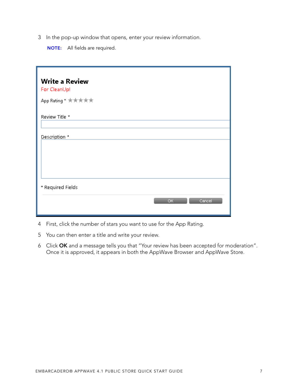3 In the pop-up window that opens, enter your review information.

**NOTE:** All fields are required.

| <b>Write a Review</b><br>For CleanUp! |
|---------------------------------------|
| App Rating * 大大大大大                    |
| Review Title *                        |
| Description *                         |
|                                       |
|                                       |
| * Required Fields                     |
| OK<br>Cancel                          |

- 4 First, click the number of stars you want to use for the App Rating.
- 5 You can then enter a title and write your review.
- 6 Click **OK** and a message tells you that "Your review has been accepted for moderation". Once it is approved, it appears in both the AppWave Browser and AppWave Store.